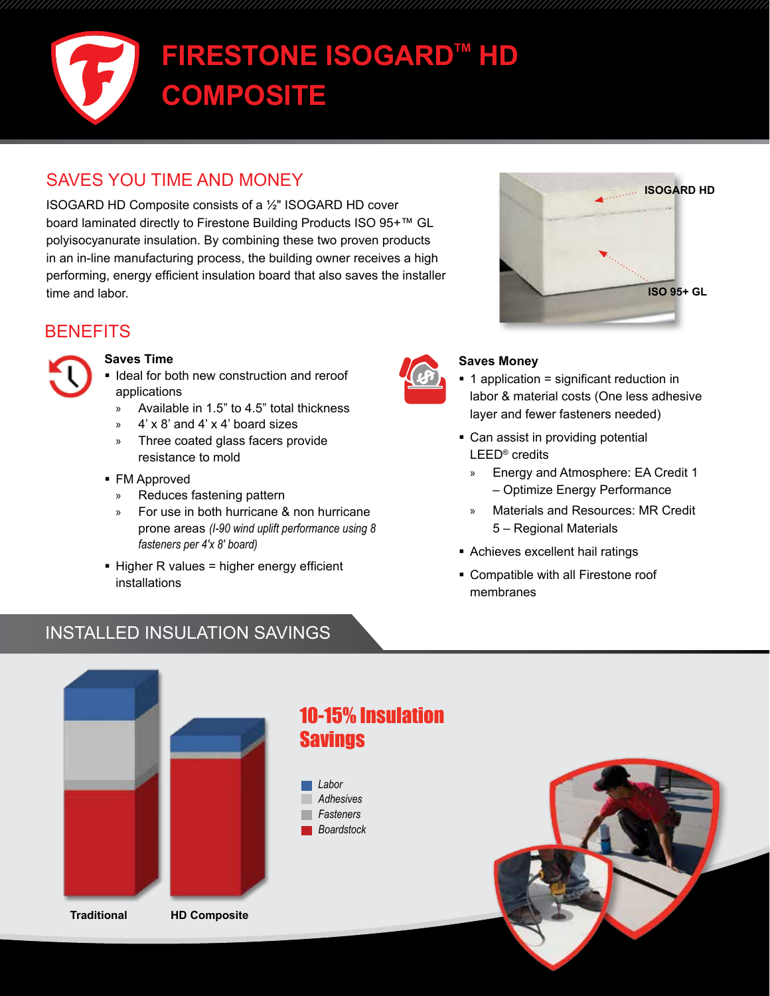# **FIRESTONE ISOGARD™ HD COMPOSITE**

## SAVES YOU TIME AND MONEY

ISOGARD HD Composite consists of a ½" ISOGARD HD cover board laminated directly to Firestone Building Products ISO 95+™ GL polyisocyanurate insulation. By combining these two proven products in an in-line manufacturing process, the building owner receives a high performing, energy efficient insulation board that also saves the installer time and labor.

### **BENEFITS**



#### **Saves Time**

- I Ideal for both new construction and reroof applications
	- » Available in 1.5" to 4.5" total thickness
	- $4' \times 8'$  and  $4' \times 4'$  board sizes
	- » Three coated glass facers provide resistance to mold
- FM Approved
	- » Reduces fastening pattern
	- » For use in both hurricane & non hurricane prone areas *(I-90 wind uplift performance using 8 fasteners per 4'x 8' board)*
- Higher R values = higher energy efficient installations





#### **Saves Money**

- 1 application = significant reduction in labor & material costs (One less adhesive layer and fewer fasteners needed)
- Can assist in providing potential LEED® credits
	- » Energy and Atmosphere: EA Credit 1 – Optimize Energy Performance
	- » Materials and Resources: MR Credit 5 – Regional Materials
- Achieves excellent hail ratings
- Compatible with all Firestone roof membranes

## INSTALLED INSULATION SAVINGS